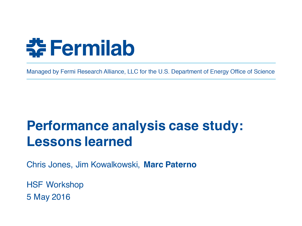

Managed by Fermi Research Alliance, LLC for the U.S. Department of Energy Office of Science

# **Performance analysis case study: Lessons learned**

Chris Jones, Jim Kowalkowski, **Marc Paterno**

HSF Workshop 5 May 2016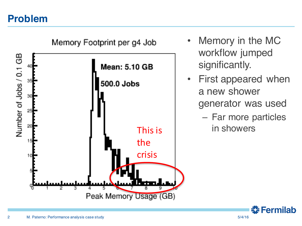#### **Problem**



- Memory in the MC workflow jumped significantly.
- First appeared when a new shower generator was used
	- Far more particles in showers

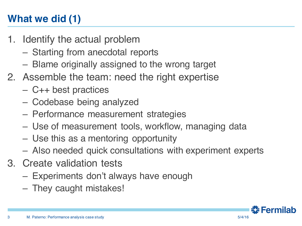# **What we did (1)**

- 1. Identify the actual problem
	- Starting from anecdotal reports
	- Blame originally assigned to the wrong target
- 2. Assemble the team: need the right expertise
	- C++ best practices
	- Codebase being analyzed
	- Performance measurement strategies
	- Use of measurement tools, workflow, managing data
	- Use this as a mentoring opportunity
	- Also needed quick consultations with experiment experts
- 3. Create validation tests
	- Experiments don't always have enough
	- They caught mistakes!

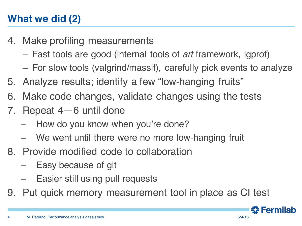# **What we did (2)**

- 4. Make profiling measurements
	- Fast tools are good (internal tools of *art* framework, igprof)
	- For slow tools (valgrind/massif), carefully pick events to analyze
- 5. Analyze results; identify a few "low-hanging fruits"
- 6. Make code changes, validate changes using the tests
- 7. Repeat 4—6 until done
	- How do you know when you're done?
	- We went until there were no more low-hanging fruit
- 8. Provide modified code to collaboration
	- Easy because of git
	- Easier still using pull requests
- 9. Put quick memory measurement tool in place as CI test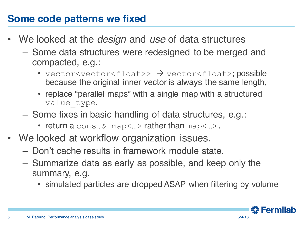#### **Some code patterns we fixed**

- We looked at the *design* and *use* of data structures
	- Some data structures were redesigned to be merged and compacted, e.g.:
		- vector<vector<float>>  $\rightarrow$  vector<float>; possible because the original inner vector is always the same length,
		- replace "parallel maps" with a single map with a structured value type.
	- Some fixes in basic handling of data structures, e.g.:
		- return a conste  $\mu$  map $\lt...$  rather than map $\lt...$ .
- We looked at workflow organization issues.
	- Don't cache results in framework module state.
	- Summarize data as early as possible, and keep only the summary, e.g.
		- simulated particles are dropped ASAP when filtering by volume

<u> 충</u> Fermilab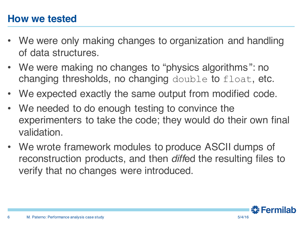#### **How we tested**

- We were only making changes to organization and handling of data structures.
- We were making no changes to "physics algorithms": no changing thresholds, no changing double to float, etc.
- We expected exactly the same output from modified code.
- We needed to do enough testing to convince the experimenters to take the code; they would do their own final validation.
- We wrote framework modules to produce ASCII dumps of reconstruction products, and then *diff*ed the resulting files to verify that no changes were introduced.

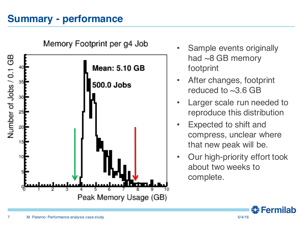## **Summary - performance**



Memory Footprint per g4 Job

- Sample events originally had ~8 GB memory footprint
- After changes, footprint reduced to  $\sim$ 3.6 GB
- Larger scale run needed to reproduce this distribution
- Expected to shift and compress, unclear where that new peak will be.
- Our high-priority effort took about two weeks to complete.

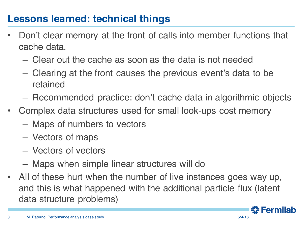## **Lessons learned: technical things**

- Don't clear memory at the front of calls into member functions that cache data.
	- Clear out the cache as soon as the data is not needed
	- Clearing at the front causes the previous event's data to be retained
	- Recommended practice: don't cache data in algorithmic objects
- Complex data structures used for small look-ups cost memory
	- Maps of numbers to vectors
	- Vectors of maps
	- Vectors of vectors
	- Maps when simple linear structures will do
- All of these hurt when the number of live instances goes way up, and this is what happened with the additional particle flux (latent data structure problems)

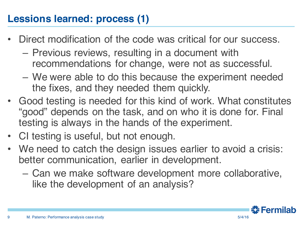# **Lessions learned: process (1)**

- Direct modification of the code was critical for our success.
	- Previous reviews, resulting in a document with recommendations for change, were not as successful.
	- We were able to do this because the experiment needed the fixes, and they needed them quickly.
- Good testing is needed for this kind of work. What constitutes "good" depends on the task, and on who it is done for. Final testing is always in the hands of the experiment.
- CI testing is useful, but not enough.
- We need to catch the design issues earlier to avoid a crisis: better communication, earlier in development.
	- Can we make software development more collaborative, like the development of an analysis?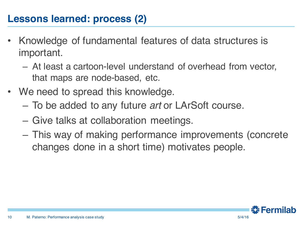#### **Lessons learned: process (2)**

- Knowledge of fundamental features of data structures is important.
	- At least a cartoon-level understand of overhead from vector, that maps are node-based, etc.
- We need to spread this knowledge.
	- To be added to any future *art* or LArSoft course.
	- Give talks at collaboration meetings.
	- This way of making performance improvements (concrete changes done in a short time) motivates people.